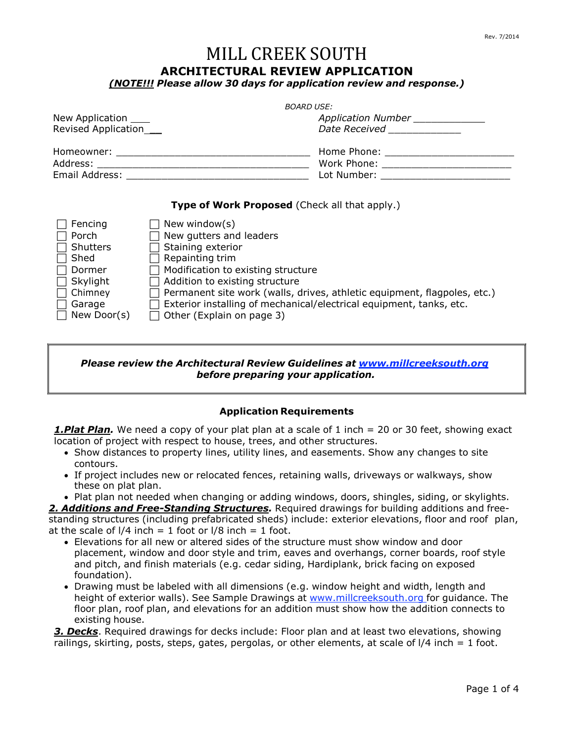# MILL CREEK SOUTH

### **ARCHITECTURAL REVIEW APPLICATION**

*(NOTE!!! Please allow 30 days for application review and response.)*

|                         | <b>BOARD USE:</b>                       |
|-------------------------|-----------------------------------------|
| New Application _____   | Application Number ______________       |
| Revised Application____ | Date Received National Contract Control |
|                         | Home Phone: _____________________       |
|                         |                                         |
|                         | Lot Number: _______________________     |
|                         |                                         |

#### **Type of Work Proposed** (Check all that apply.)

| Fencing            | New window(s)                                                                   |
|--------------------|---------------------------------------------------------------------------------|
| Porch              | New gutters and leaders                                                         |
| $\Box$ Shutters    | Staining exterior                                                               |
| $\Box$ Shed        | Repainting trim                                                                 |
| $\Box$ Dormer      | Modification to existing structure                                              |
| $\Box$ Skylight    | $\Box$ Addition to existing structure                                           |
| $\Box$ Chimney     | $\Box$ Permanent site work (walls, drives, athletic equipment, flagpoles, etc.) |
| Garage             | Exterior installing of mechanical/electrical equipment, tanks, etc.             |
| $\Box$ New Door(s) | $\Box$ Other (Explain on page 3)                                                |

#### *Please review the Architectural Review Guidelines at [www.millcreeksouth.org](http://www.millcreeksouth.org/) before preparing your application.*

#### **Application Requirements**

*1.Plat Plan.* We need a copy of your plat plan at a scale of 1 inch = 20 or 30 feet, showing exact location of project with respect to house, trees, and other structures.

- Show distances to property lines, utility lines, and easements. Show any changes to site contours.
- If project includes new or relocated fences, retaining walls, driveways or walkways, show these on plat plan.
- Plat plan not needed when changing or adding windows, doors, shingles, siding, or skylights.

*2. Additions and Free-Standing Structures.* Required drawings for building additions and freestanding structures (including prefabricated sheds) include: exterior elevations, floor and roof plan, at the scale of  $1/4$  inch = 1 foot or  $1/8$  inch = 1 foot.

- Elevations for all new or altered sides of the structure must show window and door placement, window and door style and trim, eaves and overhangs, corner boards, roof style and pitch, and finish materials (e.g. cedar siding, Hardiplank, brick facing on exposed foundation).
- Drawing must be labeled with all dimensions (e.g. window height and width, length and height of exterior walls). See Sample Drawings at [www.millcreeksouth.org](http://www.millcreeksouth.org/) for guidance. The floor plan, roof plan, and elevations for an addition must show how the addition connects to existing house.

*3. Decks*. Required drawings for decks include: Floor plan and at least two elevations, showing railings, skirting, posts, steps, gates, pergolas, or other elements, at scale of l/4 inch = 1 foot.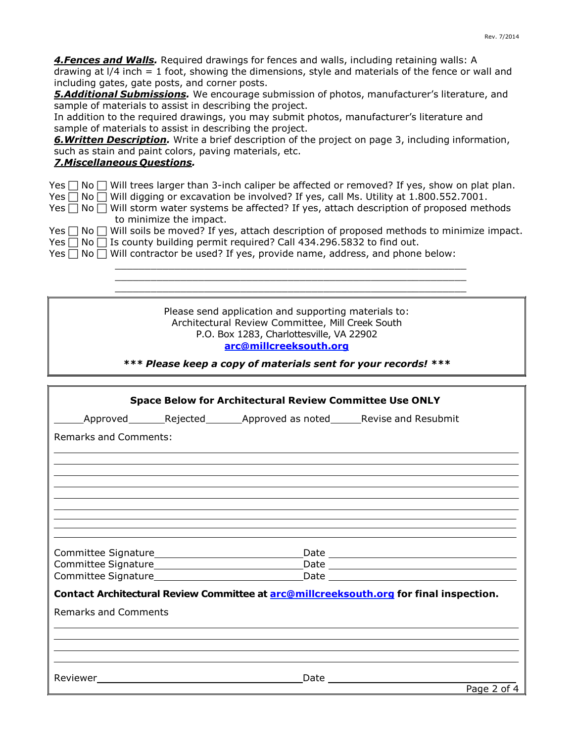| Rev. 7/2014                                                                                                                                                                                                                                                                                                                                                                                                                                                                                                                                                                                                                                                                                                                                                                                  |
|----------------------------------------------------------------------------------------------------------------------------------------------------------------------------------------------------------------------------------------------------------------------------------------------------------------------------------------------------------------------------------------------------------------------------------------------------------------------------------------------------------------------------------------------------------------------------------------------------------------------------------------------------------------------------------------------------------------------------------------------------------------------------------------------|
| 4. Fences and Walls. Required drawings for fences and walls, including retaining walls: A<br>drawing at $1/4$ inch = 1 foot, showing the dimensions, style and materials of the fence or wall and<br>including gates, gate posts, and corner posts.<br><b>5.Additional Submissions.</b> We encourage submission of photos, manufacturer's literature, and<br>sample of materials to assist in describing the project.<br>In addition to the required drawings, you may submit photos, manufacturer's literature and<br>sample of materials to assist in describing the project.<br><b>6. Written Description.</b> Write a brief description of the project on page 3, including information,<br>such as stain and paint colors, paving materials, etc.<br><b>7. Miscellaneous Questions.</b> |
| $\Box$ Will trees larger than 3-inch caliper be affected or removed? If yes, show on plat plan.<br>Yes<br>No [<br>Will digging or excavation be involved? If yes, call Ms. Utility at 1.800.552.7001.<br>Yes<br>No <sub>1</sub><br>Will storm water systems be affected? If yes, attach description of proposed methods<br>No [<br>Yes<br>to minimize the impact.<br>Will soils be moved? If yes, attach description of proposed methods to minimize impact.<br>Yes  <br>No l<br>Is county building permit required? Call 434.296.5832 to find out.<br>Yes<br>No <sub>1</sub><br>Will contractor be used? If yes, provide name, address, and phone below:<br>Yes<br>No <sub>1</sub>                                                                                                          |
|                                                                                                                                                                                                                                                                                                                                                                                                                                                                                                                                                                                                                                                                                                                                                                                              |
| Please send application and supporting materials to:<br>Architectural Review Committee, Mill Creek South<br>P.O. Box 1283, Charlottesville, VA 22902<br>arc@millcreeksouth.org<br>*** Please keep a copy of materials sent for your records! ***                                                                                                                                                                                                                                                                                                                                                                                                                                                                                                                                             |
|                                                                                                                                                                                                                                                                                                                                                                                                                                                                                                                                                                                                                                                                                                                                                                                              |
| <b>Space Below for Architectural Review Committee Use ONLY</b>                                                                                                                                                                                                                                                                                                                                                                                                                                                                                                                                                                                                                                                                                                                               |
| Rejected Approved as noted Revise and Resubmit<br>Approved                                                                                                                                                                                                                                                                                                                                                                                                                                                                                                                                                                                                                                                                                                                                   |
| <b>Remarks and Comments:</b>                                                                                                                                                                                                                                                                                                                                                                                                                                                                                                                                                                                                                                                                                                                                                                 |
|                                                                                                                                                                                                                                                                                                                                                                                                                                                                                                                                                                                                                                                                                                                                                                                              |
|                                                                                                                                                                                                                                                                                                                                                                                                                                                                                                                                                                                                                                                                                                                                                                                              |
|                                                                                                                                                                                                                                                                                                                                                                                                                                                                                                                                                                                                                                                                                                                                                                                              |
|                                                                                                                                                                                                                                                                                                                                                                                                                                                                                                                                                                                                                                                                                                                                                                                              |
| Committee Signature<br>Date and the set of the set of the set of the set of the set of the set of the set of the set of the set of th<br>Committee Signature_<br>Date and the set of the set of the set of the set of the set of the set of the set of the set of the set of th                                                                                                                                                                                                                                                                                                                                                                                                                                                                                                              |
| Committee Signature<br>Date                                                                                                                                                                                                                                                                                                                                                                                                                                                                                                                                                                                                                                                                                                                                                                  |

**Contact Architectural Review Committee at [arc@millcreeksouth.org](mailto:arc@millcreeksouth.org) for final inspection.**

<u> 1989 - Johann Stoff, amerikansk politiker (d. 1989)</u>

Remarks and Comments

Reviewer 2008 and 2008 and 2008 and 2008 and 2008 and 2008 and 2008 and 2008 and 2008 and 2008 and 2008 and 20

Page 2 of 4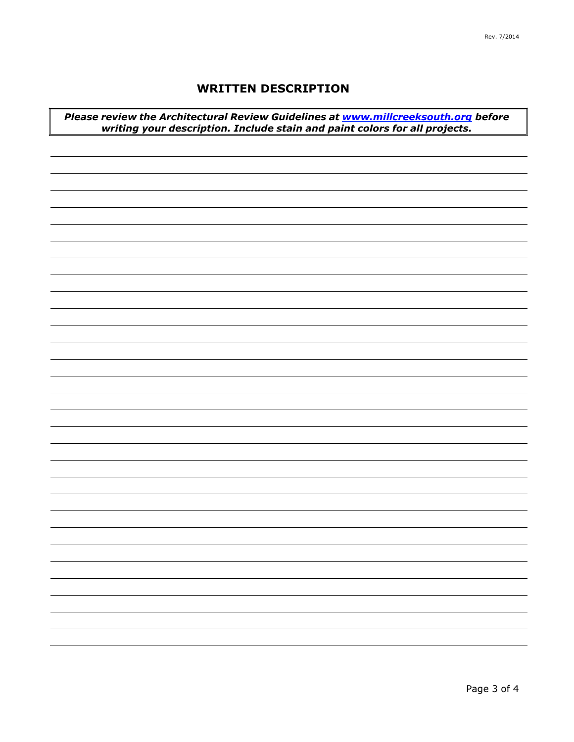## **WRITTEN DESCRIPTION**

*Please review the Architectural Review Guidelines at [www.millcreeksouth.org](http://www.millcreeksouth.org/) before writing your description. Include stain and paint colors for all projects.*